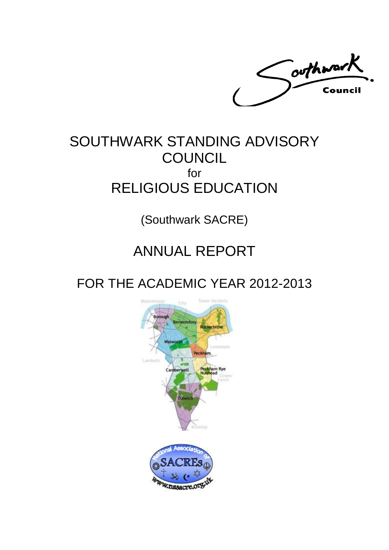Coothwark Council

## SOUTHWARK STANDING ADVISORY **COUNCIL** for RELIGIOUS EDUCATION

(Southwark SACRE)

# ANNUAL REPORT

FOR THE ACADEMIC YEAR 2012-2013

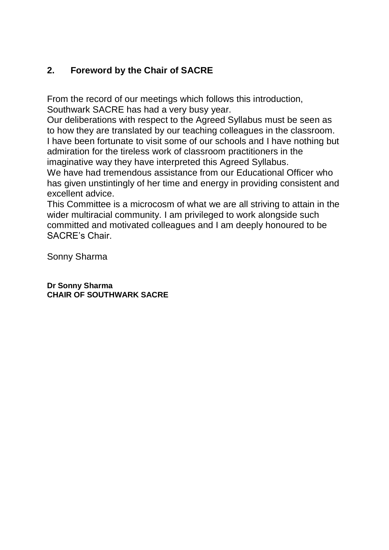## **2. Foreword by the Chair of SACRE**

From the record of our meetings which follows this introduction, Southwark SACRE has had a very busy year.

Our deliberations with respect to the Agreed Syllabus must be seen as to how they are translated by our teaching colleagues in the classroom. I have been fortunate to visit some of our schools and I have nothing but admiration for the tireless work of classroom practitioners in the imaginative way they have interpreted this Agreed Syllabus.

We have had tremendous assistance from our Educational Officer who has given unstintingly of her time and energy in providing consistent and excellent advice.

This Committee is a microcosm of what we are all striving to attain in the wider multiracial community. I am privileged to work alongside such committed and motivated colleagues and I am deeply honoured to be SACRE's Chair.

Sonny Sharma

**Dr Sonny Sharma CHAIR OF SOUTHWARK SACRE**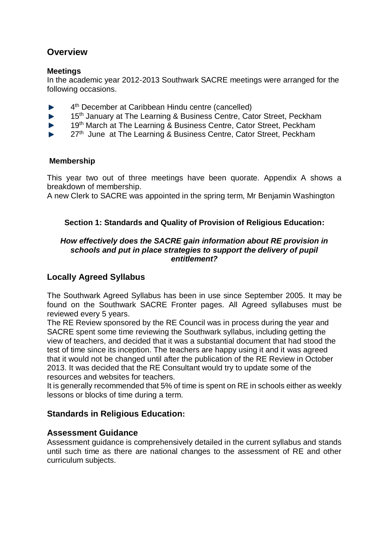## **Overview**

#### **Meetings**

In the academic year 2012-2013 Southwark SACRE meetings were arranged for the following occasions.

- 4 th December at Caribbean Hindu centre (cancelled) b.
- 15<sup>th</sup> January at The Learning & Business Centre, Cator Street, Peckham ь
- 19<sup>th</sup> March at The Learning & Business Centre, Cator Street, Peckham
- 27<sup>th</sup> June at The Learning & Business Centre, Cator Street, Peckham

### **Membership**

This year two out of three meetings have been quorate. Appendix A shows a breakdown of membership.

A new Clerk to SACRE was appointed in the spring term, Mr Benjamin Washington

## **Section 1: Standards and Quality of Provision of Religious Education:**

#### *How effectively does the SACRE gain information about RE provision in schools and put in place strategies to support the delivery of pupil entitlement?*

## **Locally Agreed Syllabus**

The Southwark Agreed Syllabus has been in use since September 2005. It may be found on the Southwark SACRE Fronter pages. All Agreed syllabuses must be reviewed every 5 years.

The RE Review sponsored by the RE Council was in process during the year and SACRE spent some time reviewing the Southwark syllabus, including getting the view of teachers, and decided that it was a substantial document that had stood the test of time since its inception. The teachers are happy using it and it was agreed that it would not be changed until after the publication of the RE Review in October 2013. It was decided that the RE Consultant would try to update some of the resources and websites for teachers.

It is generally recommended that 5% of time is spent on RE in schools either as weekly lessons or blocks of time during a term.

## **Standards in Religious Education:**

## **Assessment Guidance**

Assessment guidance is comprehensively detailed in the current syllabus and stands until such time as there are national changes to the assessment of RE and other curriculum subjects.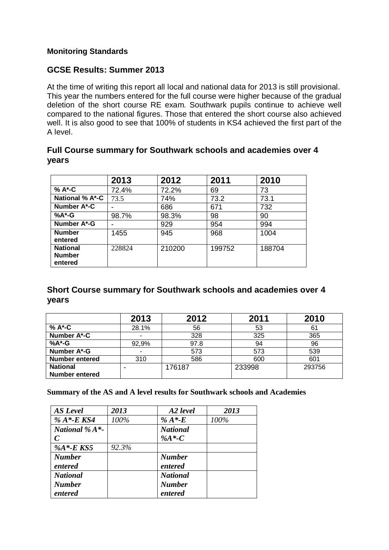### **Monitoring Standards**

## **GCSE Results: Summer 2013**

At the time of writing this report all local and national data for 2013 is still provisional. This year the numbers entered for the full course were higher because of the gradual deletion of the short course RE exam. Southwark pupils continue to achieve well compared to the national figures. Those that entered the short course also achieved well. It is also good to see that 100% of students in KS4 achieved the first part of the A level.

|                                             | 2013   | 2012   | 2011   | 2010   |
|---------------------------------------------|--------|--------|--------|--------|
| % A*-C                                      | 72.4%  | 72.2%  | 69     | 73     |
| <b>National % A*-C</b>                      | 73.5   | 74%    | 73.2   | 73.1   |
| Number A*-C                                 |        | 686    | 671    | 732    |
| % $A^*G$                                    | 98.7%  | 98.3%  | 98     | 90     |
| Number A*-G                                 |        | 929    | 954    | 994    |
| <b>Number</b><br>entered                    | 1455   | 945    | 968    | 1004   |
| <b>National</b><br><b>Number</b><br>entered | 228824 | 210200 | 199752 | 188704 |

## **Full Course summary for Southwark schools and academies over 4 years**

## **Short Course summary for Southwark schools and academies over 4 years**

|                       | 2013  | 2012   | 2011   | 2010   |
|-----------------------|-------|--------|--------|--------|
| % A*-C                | 28.1% | 56     | 53     | 61     |
| Number A*-C           |       | 328    | 325    | 365    |
| %A*-G                 | 92,9% | 97.8   | 94     | 96     |
| Number A*-G           |       | 573    | 573    | 539    |
| <b>Number entered</b> | 310   | 586    | 600    | 601    |
| <b>National</b>       |       | 176187 | 233998 | 293756 |
| <b>Number entered</b> |       |        |        |        |

**Summary of the AS and A level results for Southwark schools and Academies**

| <b>AS</b> Level    | 2013  | A2 level        | 2013 |
|--------------------|-------|-----------------|------|
| % $A^*$ -E KS4     | 100%  | % $A^*E$        | 100% |
| National % $A^*$ - |       | <b>National</b> |      |
| C                  |       | % $A^*C$        |      |
| % $A^*$ -EKS5      | 92.3% |                 |      |
| <b>Number</b>      |       | <b>Number</b>   |      |
| entered            |       | entered         |      |
| <b>National</b>    |       | <b>National</b> |      |
| <b>Number</b>      |       | <b>Number</b>   |      |
| entered            |       | entered         |      |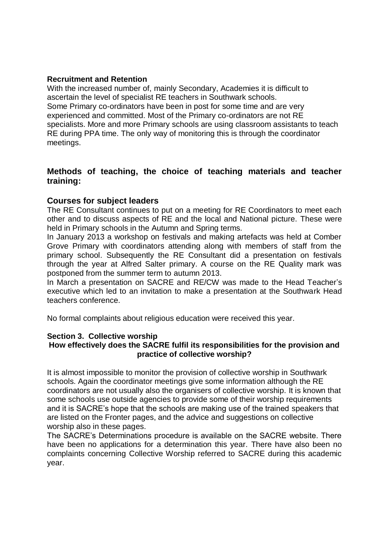#### **Recruitment and Retention**

With the increased number of, mainly Secondary, Academies it is difficult to ascertain the level of specialist RE teachers in Southwark schools. Some Primary co-ordinators have been in post for some time and are very experienced and committed. Most of the Primary co-ordinators are not RE specialists. More and more Primary schools are using classroom assistants to teach RE during PPA time. The only way of monitoring this is through the coordinator meetings.

## **Methods of teaching, the choice of teaching materials and teacher training:**

## **Courses for subject leaders**

The RE Consultant continues to put on a meeting for RE Coordinators to meet each other and to discuss aspects of RE and the local and National picture. These were held in Primary schools in the Autumn and Spring terms.

In January 2013 a workshop on festivals and making artefacts was held at Comber Grove Primary with coordinators attending along with members of staff from the primary school. Subsequently the RE Consultant did a presentation on festivals through the year at Alfred Salter primary. A course on the RE Quality mark was postponed from the summer term to autumn 2013.

In March a presentation on SACRE and RE/CW was made to the Head Teacher's executive which led to an invitation to make a presentation at the Southwark Head teachers conference.

No formal complaints about religious education were received this year.

#### **Section 3. Collective worship How effectively does the SACRE fulfil its responsibilities for the provision and practice of collective worship?**

It is almost impossible to monitor the provision of collective worship in Southwark schools. Again the coordinator meetings give some information although the RE coordinators are not usually also the organisers of collective worship. It is known that some schools use outside agencies to provide some of their worship requirements and it is SACRE's hope that the schools are making use of the trained speakers that are listed on the Fronter pages, and the advice and suggestions on collective worship also in these pages.

The SACRE's Determinations procedure is available on the SACRE website. There have been no applications for a determination this year. There have also been no complaints concerning Collective Worship referred to SACRE during this academic year.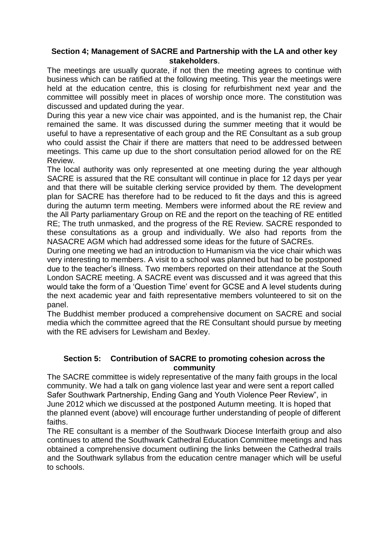### **Section 4; Management of SACRE and Partnership with the LA and other key stakeholders**.

The meetings are usually quorate, if not then the meeting agrees to continue with business which can be ratified at the following meeting. This year the meetings were held at the education centre, this is closing for refurbishment next year and the committee will possibly meet in places of worship once more. The constitution was discussed and updated during the year.

During this year a new vice chair was appointed, and is the humanist rep, the Chair remained the same. It was discussed during the summer meeting that it would be useful to have a representative of each group and the RE Consultant as a sub group who could assist the Chair if there are matters that need to be addressed between meetings. This came up due to the short consultation period allowed for on the RE Review.

The local authority was only represented at one meeting during the year although SACRE is assured that the RE consultant will continue in place for 12 days per year and that there will be suitable clerking service provided by them. The development plan for SACRE has therefore had to be reduced to fit the days and this is agreed during the autumn term meeting. Members were informed about the RE review and the All Party parliamentary Group on RE and the report on the teaching of RE entitled RE; The truth unmasked, and the progress of the RE Review. SACRE responded to these consultations as a group and individually. We also had reports from the NASACRE AGM which had addressed some ideas for the future of SACREs.

During one meeting we had an introduction to Humanism via the vice chair which was very interesting to members. A visit to a school was planned but had to be postponed due to the teacher's illness. Two members reported on their attendance at the South London SACRE meeting. A SACRE event was discussed and it was agreed that this would take the form of a 'Question Time' event for GCSE and A level students during the next academic year and faith representative members volunteered to sit on the panel.

The Buddhist member produced a comprehensive document on SACRE and social media which the committee agreed that the RE Consultant should pursue by meeting with the RE advisers for Lewisham and Bexley.

### **Section 5: Contribution of SACRE to promoting cohesion across the community**

The SACRE committee is widely representative of the many faith groups in the local community. We had a talk on gang violence last year and were sent a report called Safer Southwark Partnership, Ending Gang and Youth Violence Peer Review", in June 2012 which we discussed at the postponed Autumn meeting. It is hoped that the planned event (above) will encourage further understanding of people of different faiths.

The RE consultant is a member of the Southwark Diocese Interfaith group and also continues to attend the Southwark Cathedral Education Committee meetings and has obtained a comprehensive document outlining the links between the Cathedral trails and the Southwark syllabus from the education centre manager which will be useful to schools.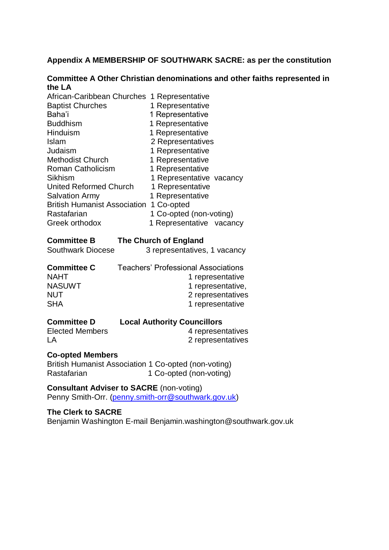#### **Appendix A MEMBERSHIP OF SOUTHWARK SACRE: as per the constitution**

#### **Committee A Other Christian denominations and other faiths represented in the LA**

| African-Caribbean Churches 1 Representative |                          |
|---------------------------------------------|--------------------------|
| <b>Baptist Churches</b>                     | 1 Representative         |
| Baha'i                                      | 1 Representative         |
| <b>Buddhism</b>                             | 1 Representative         |
| Hinduism                                    | 1 Representative         |
| <b>Islam</b>                                | 2 Representatives        |
| Judaism                                     | 1 Representative         |
| <b>Methodist Church</b>                     | 1 Representative         |
| <b>Roman Catholicism</b>                    | 1 Representative         |
| Sikhism                                     | 1 Representative vacancy |
| <b>United Reformed Church</b>               | 1 Representative         |
| <b>Salvation Army</b>                       | 1 Representative         |
| <b>British Humanist Association</b>         | 1 Co-opted               |
| Rastafarian                                 | 1 Co-opted (non-voting)  |
| Greek orthodox                              | 1 Representative vacancy |
|                                             |                          |

#### **Committee B The Church of England**

| <b>Southwark Diocese</b> | 3 representatives, 1 vacancy               |
|--------------------------|--------------------------------------------|
| <b>Committee C</b>       | <b>Teachers' Professional Associations</b> |
| <b>NAHT</b>              | 1 representative                           |
| <b>NASUWT</b>            | 1 representative,                          |
| <b>NUT</b>               | 2 representatives                          |
| <b>SHA</b>               | 1 representative                           |

| <b>Committee D</b>     | <b>Local Authority Councillors</b> |
|------------------------|------------------------------------|
| <b>Elected Members</b> | 4 representatives                  |
| LA                     | 2 representatives                  |

#### **Co-opted Members**

British Humanist Association 1 Co-opted (non-voting) Rastafarian 1 Co-opted (non-voting)

**Consultant Adviser to SACRE** (non-voting) Penny Smith-Orr. [\(penny.smith-orr@southwark.gov.uk\)](mailto:penny.smith-orr@southwark.gov.uk)

### **The Clerk to SACRE**

Benjamin Washington E-mail Benjamin.washington@southwark.gov.uk